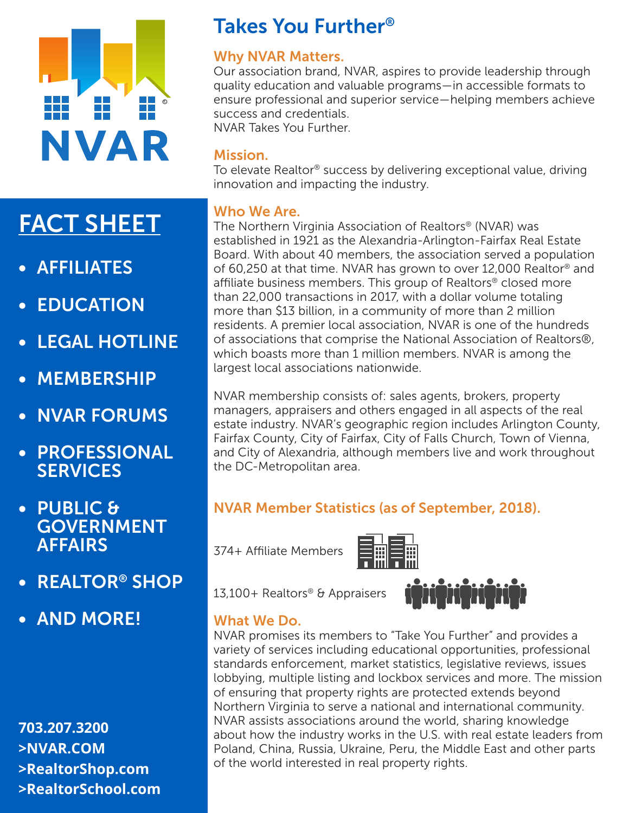

# FACT SHEET

- AFFILIATES
- EDUCATION
- LEGAL HOTLINE
- MEMBERSHIP
- NVAR FORUMS
- PROFESSIONAL **SERVICES**
- PUBLIC & GOVERNMENT AFFAIRS
- REALTOR® SHOP
- AND MORE!

**703.207.3200 >NVAR.COM >RealtorShop.com >RealtorSchool.com**

# Takes You Further®

### Why NVAR Matters.

Our association brand, NVAR, aspires to provide leadership through quality education and valuable programs—in accessible formats to ensure professional and superior service—helping members achieve success and credentials. NVAR Takes You Further.

### Mission.

To elevate Realtor® success by delivering exceptional value, driving innovation and impacting the industry.

## Who We Are.

The Northern Virginia Association of Realtors® (NVAR) was established in 1921 as the Alexandria-Arlington-Fairfax Real Estate Board. With about 40 members, the association served a population of 60,250 at that time. NVAR has grown to over 12,000 Realtor® and affiliate business members. This group of Realtors® closed more than 22,000 transactions in 2017, with a dollar volume totaling more than \$13 billion, in a community of more than 2 million residents. A premier local association, NVAR is one of the hundreds of associations that comprise the National Association of Realtors®, which boasts more than 1 million members. NVAR is among the largest local associations nationwide.

NVAR membership consists of: sales agents, brokers, property managers, appraisers and others engaged in all aspects of the real estate industry. NVAR's geographic region includes Arlington County, Fairfax County, City of Fairfax, City of Falls Church, Town of Vienna, and City of Alexandria, although members live and work throughout the DC-Metropolitan area.

## NVAR Member Statistics (as of September, 2018).

374+ Affiliate Members



13,100+ Realtors® & Appraisers

# <u>iğilgilgilgilgi</u>

# What We Do.

NVAR promises its members to "Take You Further" and provides a variety of services including educational opportunities, professional standards enforcement, market statistics, legislative reviews, issues lobbying, multiple listing and lockbox services and more. The mission of ensuring that property rights are protected extends beyond Northern Virginia to serve a national and international community. NVAR assists associations around the world, sharing knowledge about how the industry works in the U.S. with real estate leaders from Poland, China, Russia, Ukraine, Peru, the Middle East and other parts of the world interested in real property rights.